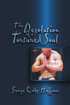The Desolation



George Colby Hoffman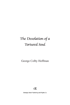# The Desolation of a Tortured Soul

George Colby Hoffman



Strategic Book Publishing and Rights Co.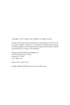Copyright © 2013 George Colby Hoffman. All rights reserved.

No part of this book may be reproduced or transmitted in any form or by any means, graphic, electronic, or mechanical, including photocopying, recording, taping, or by any information storage retrieval system, without the permission, in writing, of the publisher.

Strategic Book Publishing and Rights Co. 12620 FM 1960, Suite A4-507 Houston TX 77065 www.sbpra.com

ISBN: 978-1-62857-318-3

Design: Dedicated Book Services (www.netdbs.com)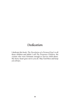#### Dedication

I dedicate this book, *The Desolation of a Tortured Soul,* to all those children and adults I call *The Forgotten Children,* the victims who were fortunate enough to survive child abuse. My heavy heart goes out to you all. May God bless and keep you always.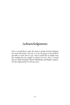## Acknowledgments

First, I would like to take this time to thank God for helping me write this book. You see, it is by the grace of God that I am able to write this to you. And I would like to thank God for sending his two angels to watch over me. Also, I would like to thank Strategic Book Publishing and Rights Agency for this opportunity to tell my story.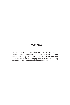## Introduction

This story of extreme child abuse promises to take you on a journey through the eyes of a child victim to the young adult survivor. My purpose in sharing this story is to help child abuse victims by acknowledging their experiences and help those more fortunate to understand the victims.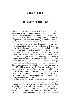#### **CHAPTER 1**

#### The Root of the Tree

Welcome to my life and my story, *The Desolation of a Tortured Soul,* a story of faith, endurance, and my will to survive! You see, I am not only a victim, I am also a survivor! My fourth father used to tell me many years ago, that we are all a product of our own environment, which means that who we are and how we are raised is who we will become as an adult. He is right to some degree I suppose, because I have been somewhat self destructive, hopeless, and destitute my entire life, leaving me hopelessly engulfed and plagued with manic depression and serious suicidal tendencies.

My sole purpose in writing this book is to reach out to anyone who has ever been physically or mentally abused, and to plead with you to seek out help with your situation, or else you will end up like me, hating yourself and all alone. The world is cruel and mean and will chew you up and spit you out, just like it did to me. Or you could become just like the world: mean and full of hate. And before you know it, your life will have passed you by. But you see, for me it was not quite so easy, because after seeing mental health professionals, I would go right back into the fire. I would have to go back into my mother's house, the very same place where I had been subjected to a life of physical and mental abuse! I never got help until I was an adult.

Just by being in that atmosphere of living down trodden and in a shack, if you will, was very depressing, especially when my own mother told me that I could never do any better. So I could never really escape the child abuse issues.

Dear Reader, the story you are about to read contains actual events that took place from my earliest memories as a small child up to adulthood. First, let me start by telling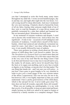#### 2 George Colby Hoffman

you that I attempted to write this book many, many times throughout my adult life. I wrote several hundred pages, day in and day out, and night after night into the wee hours. I recall crying myself to sleep afterwards. And once I awakened the very next morning, I franticly shred or burned the fruits of all my labor, fearing what someone might think of me if they were to read the thoughts of a man driven insane and painfully tormented by a past that stalked and haunted me like an unwanted ghost. Sometimes the truth hurts.

In my moments of extreme weakness and despair, I cried out to anyone who would listen to me. And in these rare, but significant—if only to me—occasions of self-indulgence and moments of weakness, I would relieve myself of this heavy burden, which had enslaved and relentlessly tormented my mind for years. And when I was done telling this story of woe, it was usually followed by tears of sadness.

There were gestures in writing a book about my life experiences of child abuse that I was forced to endure. You see, *The Desolation of a Tortured Soul* is so much more than just a story of extreme child abuse. It's a life-time cancer that eats at the very core of my soul! But the one thing I knew I had to do first and foremost was to stay true to myself and to you, the reader, by all means, and to never let myself stray from the facts or to sugar-coat anything, just to save face or pride or dignity or my feelings, or anyone else's for that matter. The one thing that stands out—and I am sure you will notice—is just how I have gone to great lengths to be very detailed in order to give you a visual image of the very extreme nature of the abuse I experienced. This was not easy for me to do, but however I felt, it was highly important so that you could understand. I have a pretty good memory of the child abuse, which is the sad part for me: it never really goes away! No, time does not heal all wounds, especially these old wounds!

When you are reading my autobiography, it is my wish that you try, if at all possible, to keep an open mind and heart, simply because no child ever asked to be raped or beaten or tortured by a family member or a complete stranger! There